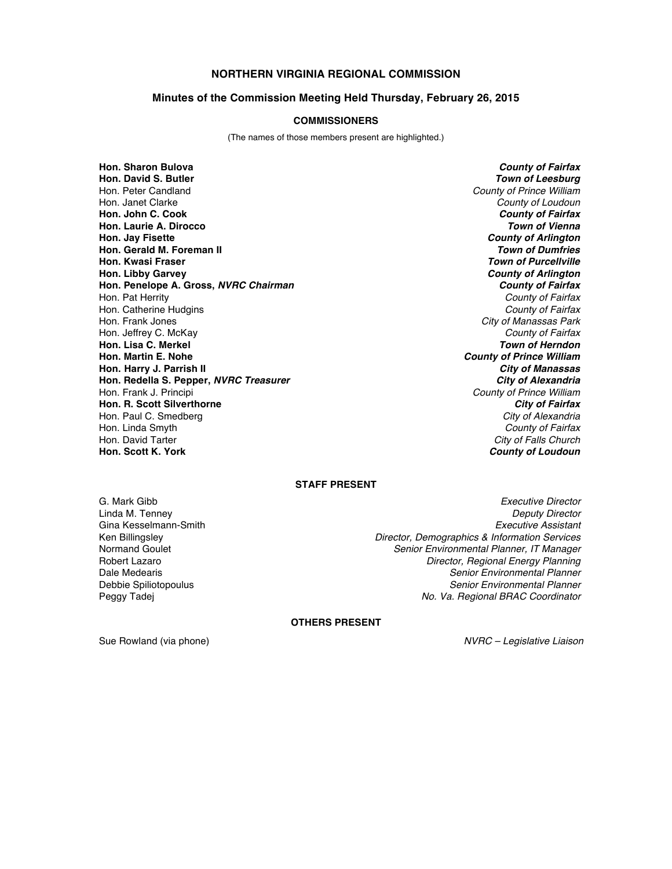# **NORTHERN VIRGINIA REGIONAL COMMISSION**

### **Minutes of the Commission Meeting Held Thursday, February 26, 2015**

#### **COMMISSIONERS**

(The names of those members present are highlighted.)

**Hon. Sharon Bulova** *County of Fairfax* Hon. Peter Candland *County of Prince William* Hon. Janet Clarke *County of Loudoun* **Hon. John C. Cook** *County of Fairfax* **Hon. Laurie A. Dirocco** *Town of Vienna* **Hon. Jay Fisette** *County of Arlington* **Hon. Gerald M. Foreman II<br>Hon. Kwasi Fraser Hon. Libby Garvey** *County of Arlington* **Hon. Penelope A. Gross,** *NVRC Chairman* Hon. Pat Herrity *County of Fairfax* Hon. Catherine Hudgins *County of Fairfax* Hon. Frank Jones *City of Manassas Park* Hon. Jeffrey C. McKay *County of Fairfax* **Hon. Lisa C. Merkel** *Town of Herndon* **Hon.** Harry J. Parrish II **Hon. Redella S. Pepper,** *NVRC Treasurer* **City of Alexandria**<br>Hon. Frank J. Principi **County of Prince William Hon. R. Scott Silverthorne** *City of Fairfax**City of Fairfax**City of Fairfax**City of Alexandria* Hon. Paul C. Smedberg Hon. Linda Smyth *County of Fairfax* Hon. David Tarter *City of Falls Church*

**Town of Leesburg Town of Purcellville County of Prince William**<br>**City of Manassas** County of Prince William<br>**City of Fairfax County of Loudoun** 

## **STAFF PRESENT**

G. Mark Gibb *Executive Director* Linda M. Tenney *Deputy Director* Gina Kesselmann-Smith *Executive Assistant* Ken Billingsley *Director, Demographics & Information Services* Normand Goulet *Senior Environmental Planner, IT Manager* Robert Lazaro *Director, Regional Energy Planning* Dale Medearis *Senior Environmental Planner*  Debbie Spiliotopoulus *Senior Environmental Planner* Peggy Tadej *No. Va. Regional BRAC Coordinator*

#### **OTHERS PRESENT**

Sue Rowland (via phone) *NVRC – Legislative Liaison*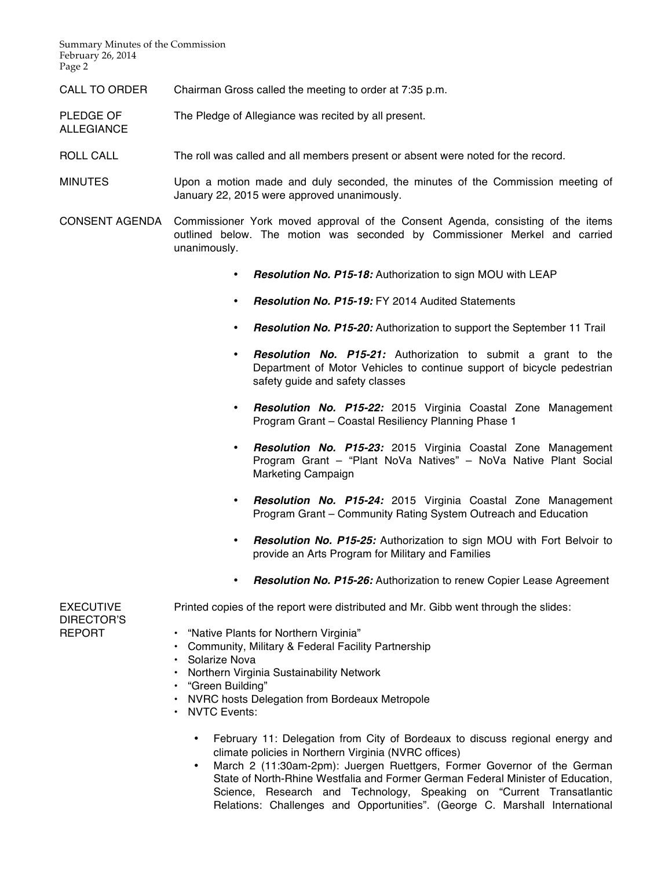Summary Minutes of the Commission February 26, 2014 Page 2

ALLEGIANCE

- CALL TO ORDER Chairman Gross called the meeting to order at 7:35 p.m.
- PLEDGE OF The Pledge of Allegiance was recited by all present.
- ROLL CALL The roll was called and all members present or absent were noted for the record.
- MINUTES Upon a motion made and duly seconded, the minutes of the Commission meeting of January 22, 2015 were approved unanimously.
- CONSENT AGENDA Commissioner York moved approval of the Consent Agenda, consisting of the items outlined below. The motion was seconded by Commissioner Merkel and carried unanimously.
	- *Resolution No. P15-18:* Authorization to sign MOU with LEAP
	- *Resolution No. P15-19:* FY 2014 Audited Statements
	- *Resolution No. P15-20:* Authorization to support the September 11 Trail
	- *Resolution No. P15-21:* Authorization to submit a grant to the Department of Motor Vehicles to continue support of bicycle pedestrian safety guide and safety classes
	- *Resolution No. P15-22:* 2015 Virginia Coastal Zone Management Program Grant – Coastal Resiliency Planning Phase 1
	- *Resolution No. P15-23:* 2015 Virginia Coastal Zone Management Program Grant – "Plant NoVa Natives" – NoVa Native Plant Social Marketing Campaign
	- *Resolution No. P15-24:* 2015 Virginia Coastal Zone Management Program Grant – Community Rating System Outreach and Education
	- *Resolution No. P15-25:* Authorization to sign MOU with Fort Belvoir to provide an Arts Program for Military and Families
	- *Resolution No. P15-26:* Authorization to renew Copier Lease Agreement

Printed copies of the report were distributed and Mr. Gibb went through the slides:

EXECUTIVE DIRECTOR'S REPORT

- "Native Plants for Northern Virginia"
- Community, Military & Federal Facility Partnership
- Solarize Nova
- Northern Virginia Sustainability Network
- "Green Building"
- NVRC hosts Delegation from Bordeaux Metropole
- NVTC Events:
	- February 11: Delegation from City of Bordeaux to discuss regional energy and climate policies in Northern Virginia (NVRC offices)
	- March 2 (11:30am-2pm): Juergen Ruettgers, Former Governor of the German State of North-Rhine Westfalia and Former German Federal Minister of Education, Science, Research and Technology, Speaking on "Current Transatlantic Relations: Challenges and Opportunities". (George C. Marshall International